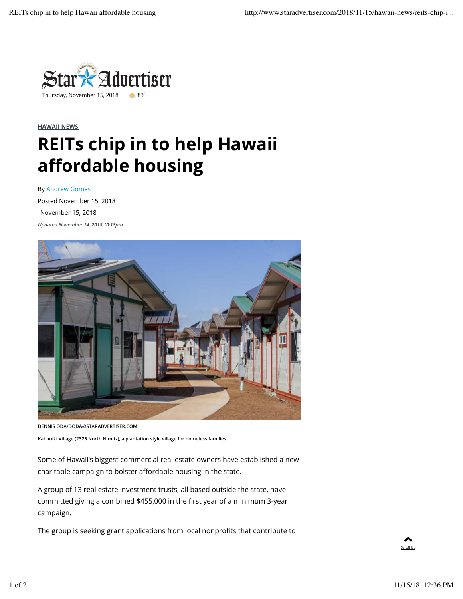

## **HAWAII NEWS**

## **REITs chip in to help Hawaii affordable housing**

By Andrew Gomes

Posted November 15, 2018 November 15, 2018 **Updated November 14, 2018 10:18pm**



**DENNIS ODA/DODA@STARADVERTISER.COM**

**Kahauiki Village (2325 North Nimitz), a plantation style village for homeless families.**

Some of Hawaii's biggest commercial real estate owners have established a new charitable campaign to bolster affordable housing in the state.

A group of 13 real estate investment trusts, all based outside the state, have committed giving a combined \$455,000 in the first year of a minimum 3-year campaign.

The group is seeking grant applications from local nonprofits that contribute to